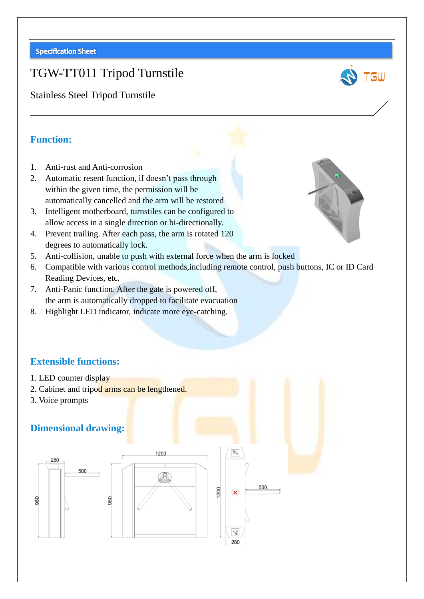# TGW-TT011 Tripod Turnstile

Stainless Steel Tripod Turnstile

#### **Function:**

- 1. Anti-rust and Anti-corrosion
- 2. Automatic resent function, if doesn't pass through within the given time, the permission will be automatically cancelled and the arm will be restored
- 3. Intelligent motherboard, turnstiles can be configured to allow access in a single direction or bi-directionally.
- 4. Prevent trailing. After each pass, the arm is rotated 120 degrees to automatically lock.
- 5. Anti-collision, unable to push with external force when the arm is locked
- 6. Compatible with various control methods,including remote control, push buttons, IC or ID Card Reading Devices, etc.

500

 $\mathbf{\widehat{X}}$ 

 $\left(\begin{smallmatrix} 0 & 0 \\ 0 & \infty \end{smallmatrix}\right)$ 280

- 7. Anti-Panic function. After the gate is powered off, the arm is automatically dropped to facilitate evacuation
- 8. Highlight LED indicator, indicate more eye-catching.

## **Extensible functions:**

- 1. LED counter display
- 2. Cabinet and tripod arms can be lengthened.
- 3. Voice prompts

## **Dimensional drawing:**